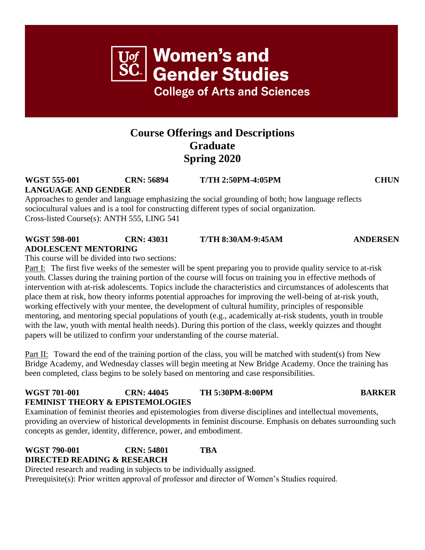# **Course Offerings and Descriptions Graduate Spring 2020**

## **WGST 555-001 CRN: 56894 T/TH 2:50PM-4:05PM CHUN LANGUAGE AND GENDER**

Approaches to gender and language emphasizing the social grounding of both; how language reflects sociocultural values and is a tool for constructing different types of social organization. Cross-listed Course(s): ANTH 555, LING 541

#### **WGST 598-001 CRN: 43031 T/TH 8:30AM-9:45AM ANDERSEN ADOLESCENT MENTORING**

This course will be divided into two sections:

Part I: The first five weeks of the semester will be spent preparing you to provide quality service to at-risk youth. Classes during the training portion of the course will focus on training you in effective methods of intervention with at-risk adolescents. Topics include the characteristics and circumstances of adolescents that place them at risk, how theory informs potential approaches for improving the well-being of at-risk youth, working effectively with your mentee, the development of cultural humility, principles of responsible mentoring, and mentoring special populations of youth (e.g., academically at-risk students, youth in trouble with the law, youth with mental health needs). During this portion of the class, weekly quizzes and thought papers will be utilized to confirm your understanding of the course material.

Part II: Toward the end of the training portion of the class, you will be matched with student(s) from New Bridge Academy, and Wednesday classes will begin meeting at New Bridge Academy. Once the training has been completed, class begins to be solely based on mentoring and case responsibilities.

## **WGST 701-001 CRN: 44045 TH 5:30PM-8:00PM BARKER FEMINIST THEORY & EPISTEMOLOGIES**

Examination of feminist theories and epistemologies from diverse disciplines and intellectual movements, providing an overview of historical developments in feminist discourse. Emphasis on debates surrounding such concepts as gender, identity, difference, power, and embodiment.

### **WGST 790-001 CRN: 54801 TBA DIRECTED READING & RESEARCH**

Directed research and reading in subjects to be individually assigned. Prerequisite(s): Prior written approval of professor and director of Women's Studies required.

**Women's and** Gender Studies

**College of Arts and Sciences**